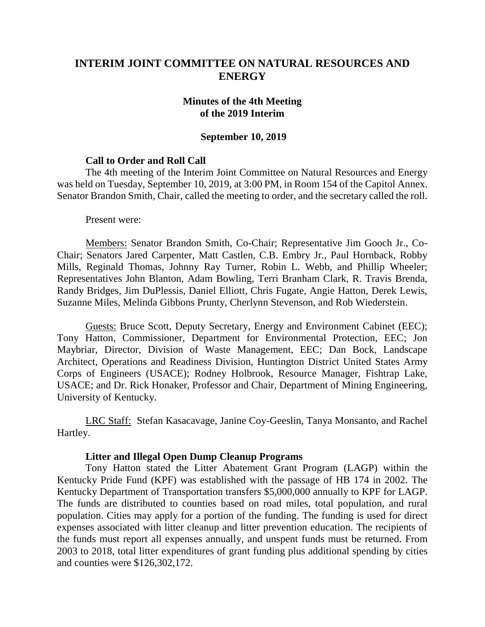# **INTERIM JOINT COMMITTEE ON NATURAL RESOURCES AND ENERGY**

## **Minutes of the 4th Meeting of the 2019 Interim**

#### **September 10, 2019**

### **Call to Order and Roll Call**

The 4th meeting of the Interim Joint Committee on Natural Resources and Energy was held on Tuesday, September 10, 2019, at 3:00 PM, in Room 154 of the Capitol Annex. Senator Brandon Smith, Chair, called the meeting to order, and the secretary called the roll.

Present were:

Members: Senator Brandon Smith, Co-Chair; Representative Jim Gooch Jr., Co-Chair; Senators Jared Carpenter, Matt Castlen, C.B. Embry Jr., Paul Hornback, Robby Mills, Reginald Thomas, Johnny Ray Turner, Robin L. Webb, and Phillip Wheeler; Representatives John Blanton, Adam Bowling, Terri Branham Clark, R. Travis Brenda, Randy Bridges, Jim DuPlessis, Daniel Elliott, Chris Fugate, Angie Hatton, Derek Lewis, Suzanne Miles, Melinda Gibbons Prunty, Cherlynn Stevenson, and Rob Wiederstein.

Guests: Bruce Scott, Deputy Secretary, Energy and Environment Cabinet (EEC); Tony Hatton, Commissioner, Department for Environmental Protection, EEC; Jon Maybriar, Director, Division of Waste Management, EEC; Dan Bock, Landscape Architect, Operations and Readiness Division, Huntington District United States Army Corps of Engineers (USACE); Rodney Holbrook, Resource Manager, Fishtrap Lake, USACE; and Dr. Rick Honaker, Professor and Chair, Department of Mining Engineering, University of Kentucky.

LRC Staff: Stefan Kasacavage, Janine Coy-Geeslin, Tanya Monsanto, and Rachel Hartley.

#### **Litter and Illegal Open Dump Cleanup Programs**

Tony Hatton stated the Litter Abatement Grant Program (LAGP) within the Kentucky Pride Fund (KPF) was established with the passage of HB 174 in 2002. The Kentucky Department of Transportation transfers \$5,000,000 annually to KPF for LAGP. The funds are distributed to counties based on road miles, total population, and rural population. Cities may apply for a portion of the funding. The funding is used for direct expenses associated with litter cleanup and litter prevention education. The recipients of the funds must report all expenses annually, and unspent funds must be returned. From 2003 to 2018, total litter expenditures of grant funding plus additional spending by cities and counties were \$126,302,172.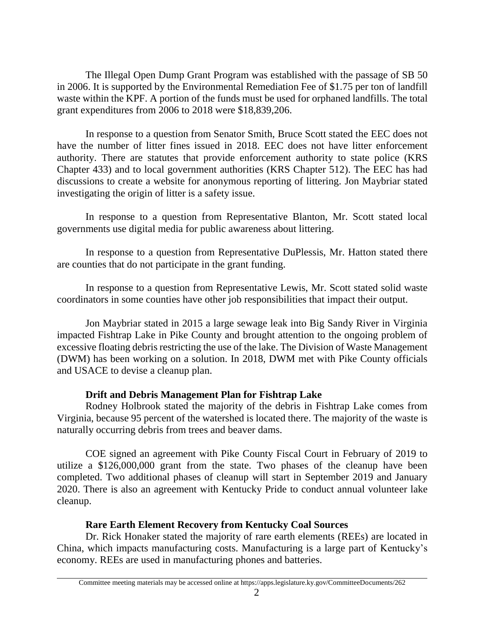The Illegal Open Dump Grant Program was established with the passage of SB 50 in 2006. It is supported by the Environmental Remediation Fee of \$1.75 per ton of landfill waste within the KPF. A portion of the funds must be used for orphaned landfills. The total grant expenditures from 2006 to 2018 were \$18,839,206.

In response to a question from Senator Smith, Bruce Scott stated the EEC does not have the number of litter fines issued in 2018. EEC does not have litter enforcement authority. There are statutes that provide enforcement authority to state police (KRS Chapter 433) and to local government authorities (KRS Chapter 512). The EEC has had discussions to create a website for anonymous reporting of littering. Jon Maybriar stated investigating the origin of litter is a safety issue.

In response to a question from Representative Blanton, Mr. Scott stated local governments use digital media for public awareness about littering.

In response to a question from Representative DuPlessis, Mr. Hatton stated there are counties that do not participate in the grant funding.

In response to a question from Representative Lewis, Mr. Scott stated solid waste coordinators in some counties have other job responsibilities that impact their output.

Jon Maybriar stated in 2015 a large sewage leak into Big Sandy River in Virginia impacted Fishtrap Lake in Pike County and brought attention to the ongoing problem of excessive floating debris restricting the use of the lake. The Division of Waste Management (DWM) has been working on a solution. In 2018, DWM met with Pike County officials and USACE to devise a cleanup plan.

## **Drift and Debris Management Plan for Fishtrap Lake**

Rodney Holbrook stated the majority of the debris in Fishtrap Lake comes from Virginia, because 95 percent of the watershed is located there. The majority of the waste is naturally occurring debris from trees and beaver dams.

COE signed an agreement with Pike County Fiscal Court in February of 2019 to utilize a \$126,000,000 grant from the state. Two phases of the cleanup have been completed. Two additional phases of cleanup will start in September 2019 and January 2020. There is also an agreement with Kentucky Pride to conduct annual volunteer lake cleanup.

## **Rare Earth Element Recovery from Kentucky Coal Sources**

Dr. Rick Honaker stated the majority of rare earth elements (REEs) are located in China, which impacts manufacturing costs. Manufacturing is a large part of Kentucky's economy. REEs are used in manufacturing phones and batteries.